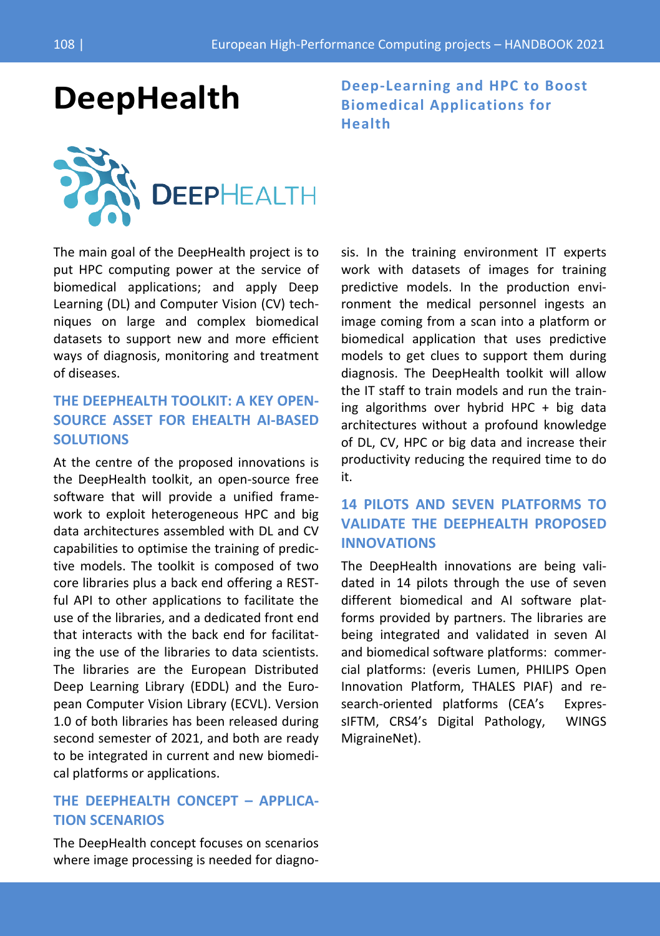

The main goal of the DeepHealth project is to put HPC computing power at the service of biomedical applications; and apply Deep Learning (DL) and Computer Vision (CV) techniques on large and complex biomedical datasets to support new and more efficient ways of diagnosis, monitoring and treatment of diseases.

# **THE DEEPHEALTH TOOLKIT: A KEY OPEN-SOURCE ASSET FOR EHEALTH AI-BASED SOLUTIONS**

At the centre of the proposed innovations is the DeepHealth toolkit, an open-source free software that will provide a unified framework to exploit heterogeneous HPC and big data architectures assembled with DL and CV capabilities to optimise the training of predictive models. The toolkit is composed of two core libraries plus a back end offering a RESTful API to other applications to facilitate the use of the libraries, and a dedicated front end that interacts with the back end for facilitating the use of the libraries to data scientists. The libraries are the European Distributed Deep Learning Library (EDDL) and the European Computer Vision Library (ECVL). Version 1.0 of both libraries has been released during second semester of 2021, and both are ready to be integrated in current and new biomedical platforms or applications.

## **THE DEEPHEALTH CONCEPT – APPLICA-TION SCENARIOS**

The DeepHealth concept focuses on scenarios where image processing is needed for diagno-

**DeepHealth Deep-Learning and HPC to Boost Biomedical Applications for Health**

> sis. In the training environment IT experts work with datasets of images for training predictive models. In the production environment the medical personnel ingests an image coming from a scan into a platform or biomedical application that uses predictive models to get clues to support them during diagnosis. The DeepHealth toolkit will allow the IT staff to train models and run the training algorithms over hybrid HPC + big data architectures without a profound knowledge of DL, CV, HPC or big data and increase their productivity reducing the required time to do it.

# **14 PILOTS AND SEVEN PLATFORMS TO VALIDATE THE DEEPHEALTH PROPOSED INNOVATIONS**

The DeepHealth innovations are being validated in 14 pilots through the use of seven different biomedical and AI software platforms provided by partners. The libraries are being integrated and validated in seven AI and biomedical software platforms: commercial platforms: (everis Lumen, PHILIPS Open Innovation Platform, THALES PIAF) and research-oriented platforms (CEA's ExpressIFTM, CRS4's Digital Pathology, WINGS MigraineNet).